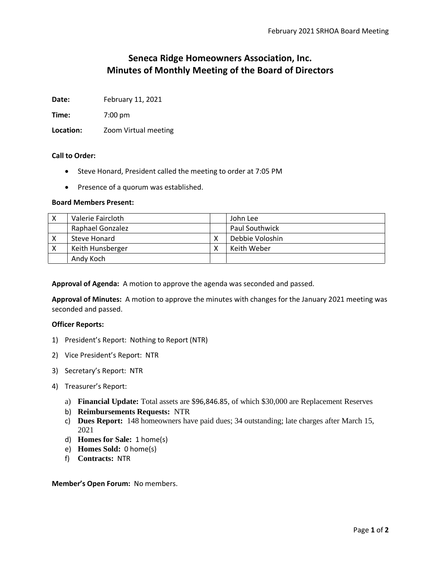# **Seneca Ridge Homeowners Association, Inc. Minutes of Monthly Meeting of the Board of Directors**

**Date:** February 11, 2021

**Time:** 7:00 pm

**Location:** Zoom Virtual meeting

### **Call to Order:**

- Steve Honard, President called the meeting to order at 7:05 PM
- Presence of a quorum was established.

## **Board Members Present:**

| Valerie Faircloth       | John Lee              |
|-------------------------|-----------------------|
| <b>Raphael Gonzalez</b> | <b>Paul Southwick</b> |
| Steve Honard            | Debbie Voloshin       |
| Keith Hunsberger        | Keith Weber           |
| Andy Koch               |                       |

**Approval of Agenda:** A motion to approve the agenda was seconded and passed.

**Approval of Minutes:** A motion to approve the minutes with changes for the January 2021 meeting was seconded and passed.

### **Officer Reports:**

- 1) President's Report: Nothing to Report (NTR)
- 2) Vice President's Report: NTR
- 3) Secretary's Report: NTR
- 4) Treasurer's Report:
	- a) **Financial Update:** Total assets are \$96,846.85, of which \$30,000 are Replacement Reserves
	- b) **Reimbursements Requests:** NTR
	- c) **Dues Report:** 148 homeowners have paid dues; 34 outstanding; late charges after March 15, 2021
	- d) **Homes for Sale:** 1 home(s)
	- e) **Homes Sold:** 0 home(s)
	- f) **Contracts:** NTR

**Member's Open Forum:** No members.